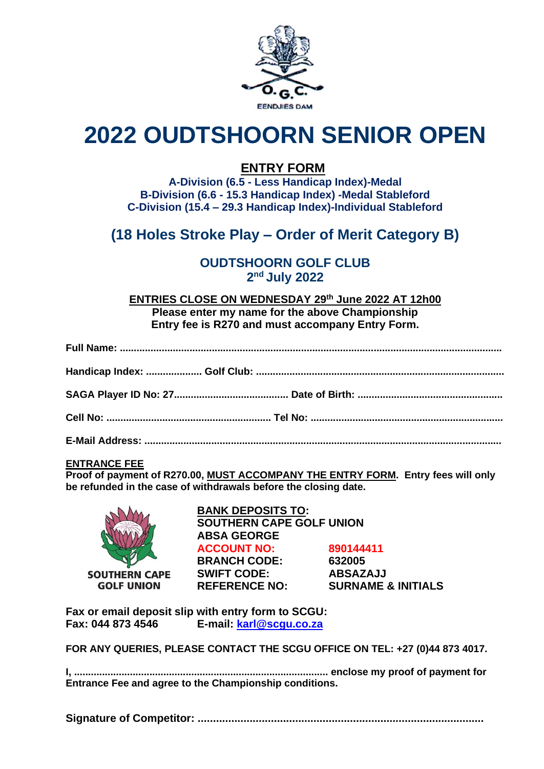

# **2022 OUDTSHOORN SENIOR OPEN**

## **ENTRY FORM**

**A-Division (6.5 - Less Handicap Index)-Medal B-Division (6.6 - 15.3 Handicap Index) -Medal Stableford C-Division (15.4 – 29.3 Handicap Index)-Individual Stableford**

# **(18 Holes Stroke Play – Order of Merit Category B)**

### **OUDTSHOORN GOLF CLUB 2 nd July 2022**

**ENTRIES CLOSE ON WEDNESDAY 29th June 2022 AT 12h00 Please enter my name for the above Championship Entry fee is R270 and must accompany Entry Form.**

#### **ENTRANCE FEE**

**Proof of payment of R270.00, MUST ACCOMPANY THE ENTRY FORM. Entry fees will only be refunded in the case of withdrawals before the closing date.**



**BANK DEPOSITS TO: SOUTHERN CAPE GOLF UNION ABSA GEORGE ACCOUNT NO: 890144411 BRANCH CODE: 632005 SWIFT CODE: ABSAZAJJ REFERENCE NO: SURNAME & INITIALS**

**Fax or email deposit slip with entry form to SCGU: Fax: 044 873 4546 E-mail: [karl@scgu.co.za](mailto:karl@scgu.co.za)**

**FOR ANY QUERIES, PLEASE CONTACT THE SCGU OFFICE ON TEL: +27 (0)44 873 4017.**

**I, ........................................................................................... enclose my proof of payment for Entrance Fee and agree to the Championship conditions.**

**Signature of Competitor: ..............................................................................................**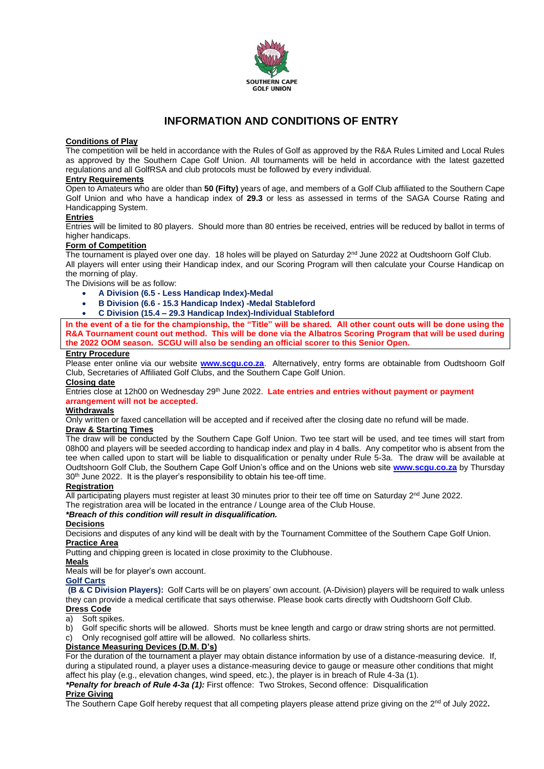

#### **INFORMATION AND CONDITIONS OF ENTRY**

#### **Conditions of Play**

The competition will be held in accordance with the Rules of Golf as approved by the R&A Rules Limited and Local Rules as approved by the Southern Cape Golf Union. All tournaments will be held in accordance with the latest gazetted regulations and all GolfRSA and club protocols must be followed by every individual.

#### **Entry Requirements**

Open to Amateurs who are older than **50 (Fifty)** years of age, and members of a Golf Club affiliated to the Southern Cape Golf Union and who have a handicap index of **29.3** or less as assessed in terms of the SAGA Course Rating and Handicapping System.

#### **Entries**

Entries will be limited to 80 players. Should more than 80 entries be received, entries will be reduced by ballot in terms of higher handicaps.

#### **Form of Competition**

The tournament is played over one day. 18 holes will be played on Saturday 2<sup>nd</sup> June 2022 at Oudtshoorn Golf Club. All players will enter using their Handicap index, and our Scoring Program will then calculate your Course Handicap on the morning of play.

The Divisions will be as follow:

- **A Division (6.5 - Less Handicap Index)-Medal**
- **B Division (6.6 - 15.3 Handicap Index) -Medal Stableford**
- **C Division (15.4 – 29.3 Handicap Index)-Individual Stableford**

**In the event of a tie for the championship, the "Title" will be shared. All other count outs will be done using the R&A Tournament count out method. This will be done via the Albatros Scoring Program that will be used during the 2022 OOM season. SCGU will also be sending an official scorer to this Senior Open.**

#### **Entry Procedure**

Please enter online via our website **[www.scgu.co.za](http://www.scgu.co.za/)**. Alternatively, entry forms are obtainable from Oudtshoorn Golf Club, Secretaries of Affiliated Golf Clubs, and the Southern Cape Golf Union.

**Closing date** Entries close at 12h00 on Wednesday 29<sup>th</sup> June 2022. Late entries and entries without payment or payment **arrangement will not be accepted.**

#### **Withdrawals**

Only written or faxed cancellation will be accepted and if received after the closing date no refund will be made. **Draw & Starting Times**

The draw will be conducted by the Southern Cape Golf Union. Two tee start will be used, and tee times will start from 08h00 and players will be seeded according to handicap index and play in 4 balls. Any competitor who is absent from the tee when called upon to start will be liable to disqualification or penalty under Rule 5-3a. The draw will be available at Oudtshoorn Golf Club, the Southern Cape Golf Union's office and on the Unions web site **[www.scgu.co.za](http://www.scgu.co.za/)** by Thursday 30<sup>th</sup> June 2022. It is the player's responsibility to obtain his tee-off time.

#### **Registration**

All participating players must register at least 30 minutes prior to their tee off time on Saturday 2<sup>nd</sup> June 2022.

The registration area will be located in the entrance / Lounge area of the Club House.

#### *\*Breach of this condition will result in disqualification.*

#### **Decisions**

Decisions and disputes of any kind will be dealt with by the Tournament Committee of the Southern Cape Golf Union. **Practice Area**

Putting and chipping green is located in close proximity to the Clubhouse.

#### **Meals**

Meals will be for player's own account.

#### **Golf Carts**

**(B & C Division Players):** Golf Carts will be on players' own account. (A-Division) players will be required to walk unless they can provide a medical certificate that says otherwise. Please book carts directly with Oudtshoorn Golf Club. **Dress Code**

#### a) Soft spikes.

b) Golf specific shorts will be allowed. Shorts must be knee length and cargo or draw string shorts are not permitted.

c) Only recognised golf attire will be allowed. No collarless shirts.

#### **Distance Measuring Devices (D.M. D's)**

For the duration of the tournament a player may obtain distance information by use of a distance-measuring device. If, during a stipulated round, a player uses a distance-measuring device to gauge or measure other conditions that might affect his play (e.g., elevation changes, wind speed, etc.), the player is in breach of Rule 4-3a (1).

*\*Penalty for breach of Rule 4-3a (1):* First offence: Two Strokes, Second offence: Disqualification

#### **Prize Giving**

The Southern Cape Golf hereby request that all competing players please attend prize giving on the 2<sup>nd</sup> of July 2022**.**